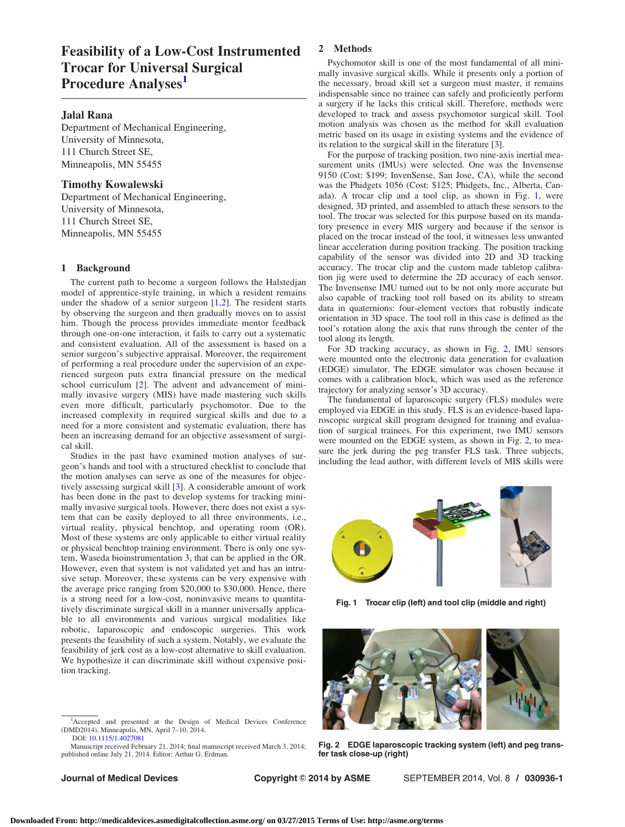# Feasibility of a Low-Cost Instrumented Trocar for Universal Surgical Procedure Analyses<sup>1</sup>

## Jalal Rana

Department of Mechanical Engineering, University of Minnesota, 111 Church Street SE, Minneapolis, MN 55455

## Timothy Kowalewski

Department of Mechanical Engineering, University of Minnesota, 111 Church Street SE, Minneapolis, MN 55455

## 1 Background

The current path to become a surgeon follows the Halstedjan model of apprentice-style training, in which a resident remains under the shadow of a senior surgeon  $[1,2]$  $[1,2]$ . The resident starts by observing the surgeon and then gradually moves on to assist him. Though the process provides immediate mentor feedback through one-on-one interaction, it fails to carry out a systematic and consistent evaluation. All of the assessment is based on a senior surgeon's subjective appraisal. Moreover, the requirement of performing a real procedure under the supervision of an experienced surgeon puts extra financial pressure on the medical school curriculum [[2\]](#page-1-0). The advent and advancement of minimally invasive surgery (MIS) have made mastering such skills even more difficult, particularly psychomotor. Due to the increased complexity in required surgical skills and due to a need for a more consistent and systematic evaluation, there has been an increasing demand for an objective assessment of surgical skill.

Studies in the past have examined motion analyses of surgeon's hands and tool with a structured checklist to conclude that the motion analyses can serve as one of the measures for objectively assessing surgical skill [[3\]](#page-1-0). A considerable amount of work has been done in the past to develop systems for tracking minimally invasive surgical tools. However, there does not exist a system that can be easily deployed to all three environments, i.e., virtual reality, physical benchtop, and operating room (OR). Most of these systems are only applicable to either virtual reality or physical benchtop training environment. There is only one system, Waseda bioinstrumentation 3, that can be applied in the OR. However, even that system is not validated yet and has an intrusive setup. Moreover, these systems can be very expensive with the average price ranging from \$20,000 to \$30,000. Hence, there is a strong need for a low-cost, noninvasive means to quantitatively discriminate surgical skill in a manner universally applicable to all environments and various surgical modalities like robotic, laparoscopic and endoscopic surgeries. This work presents the feasibility of such a system. Notably, we evaluate the feasibility of jerk cost as a low-cost alternative to skill evaluation. We hypothesize it can discriminate skill without expensive position tracking.

2 Methods

Psychomotor skill is one of the most fundamental of all minimally invasive surgical skills. While it presents only a portion of the necessary, broad skill set a surgeon must master, it remains indispensable since no trainee can safely and proficiently perform a surgery if he lacks this critical skill. Therefore, methods were developed to track and assess psychomotor surgical skill. Tool motion analysis was chosen as the method for skill evaluation metric based on its usage in existing systems and the evidence of its relation to the surgical skill in the literature [\[3\]](#page-1-0).

For the purpose of tracking position, two nine-axis inertial measurement units (IMUs) were selected. One was the Invensense 9150 (Cost: \$199; InvenSense, San Jose, CA), while the second was the Phidgets 1056 (Cost: \$125; Phidgets, Inc., Alberta, Canada). A trocar clip and a tool clip, as shown in Fig. 1, were designed, 3D printed, and assembled to attach these sensors to the tool. The trocar was selected for this purpose based on its mandatory presence in every MIS surgery and because if the sensor is placed on the trocar instead of the tool, it witnesses less unwanted linear acceleration during position tracking. The position tracking capability of the sensor was divided into 2D and 3D tracking accuracy. The trocar clip and the custom made tabletop calibration jig were used to determine the 2D accuracy of each sensor. The Invensense IMU turned out to be not only more accurate but also capable of tracking tool roll based on its ability to stream data in quaternions: four-element vectors that robustly indicate orientation in 3D space. The tool roll in this case is defined as the tool's rotation along the axis that runs through the center of the tool along its length.

For 3D tracking accuracy, as shown in Fig. 2, IMU sensors were mounted onto the electronic data generation for evaluation (EDGE) simulator. The EDGE simulator was chosen because it comes with a calibration block, which was used as the reference trajectory for analyzing sensor's 3D accuracy.

The fundamental of laparoscopic surgery (FLS) modules were employed via EDGE in this study. FLS is an evidence-based laparoscopic surgical skill program designed for training and evaluation of surgical trainees. For this experiment, two IMU sensors were mounted on the EDGE system, as shown in Fig. 2, to measure the jerk during the peg transfer FLS task. Three subjects, including the lead author, with different levels of MIS skills were



Fig. 1 Trocar clip (left) and tool clip (middle and right)



Fig. 2 EDGE laparoscopic tracking system (left) and peg transfer task close-up (right)

<sup>&</sup>lt;sup>1</sup>Accepted and presented at the Design of Medical Devices Conference (DMD2014), Minneapolis, MN, April 7–10, 2014. DOI: [10.1115/1.4027081](http://dx.doi.org/10.1115/1.4027081)

Manuscript received February 21, 2014; final manuscript received March 3, 2014; published online July 21, 2014. Editor: Arthur G. Erdman.